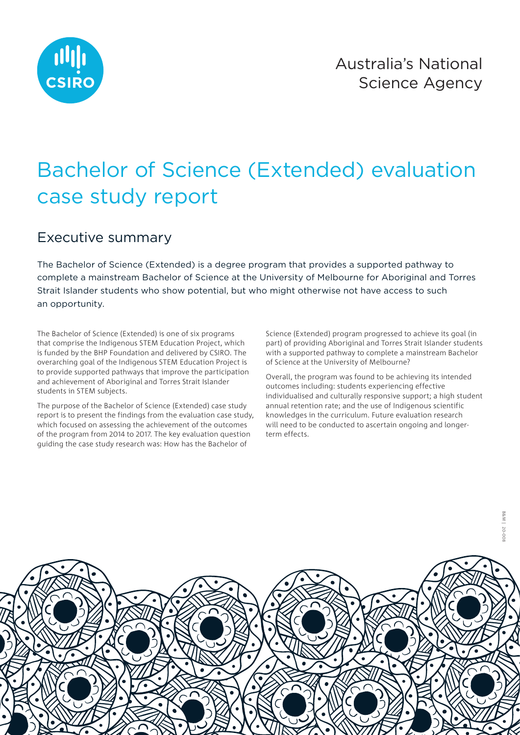

## Bachelor of Science (Extended) evaluation case study report

## Executive summary

The Bachelor of Science (Extended) is a degree program that provides a supported pathway to complete a mainstream Bachelor of Science at the University of Melbourne for Aboriginal and Torres Strait Islander students who show potential, but who might otherwise not have access to such an opportunity.

The Bachelor of Science (Extended) is one of six programs that comprise the Indigenous STEM Education Project, which is funded by the BHP Foundation and delivered by CSIRO. The overarching goal of the Indigenous STEM Education Project is to provide supported pathways that improve the participation and achievement of Aboriginal and Torres Strait Islander students in STEM subjects.

The purpose of the Bachelor of Science (Extended) case study report is to present the findings from the evaluation case study, which focused on assessing the achievement of the outcomes of the program from 2014 to 2017. The key evaluation question guiding the case study research was: How has the Bachelor of

Science (Extended) program progressed to achieve its goal (in part) of providing Aboriginal and Torres Strait Islander students with a supported pathway to complete a mainstream Bachelor of Science at the University of Melbourne?

Overall, the program was found to be achieving its intended outcomes including: students experiencing effective individualised and culturally responsive support; a high student annual retention rate; and the use of Indigenous scientific knowledges in the curriculum. Future evaluation research will need to be conducted to ascertain ongoing and longerterm effects.